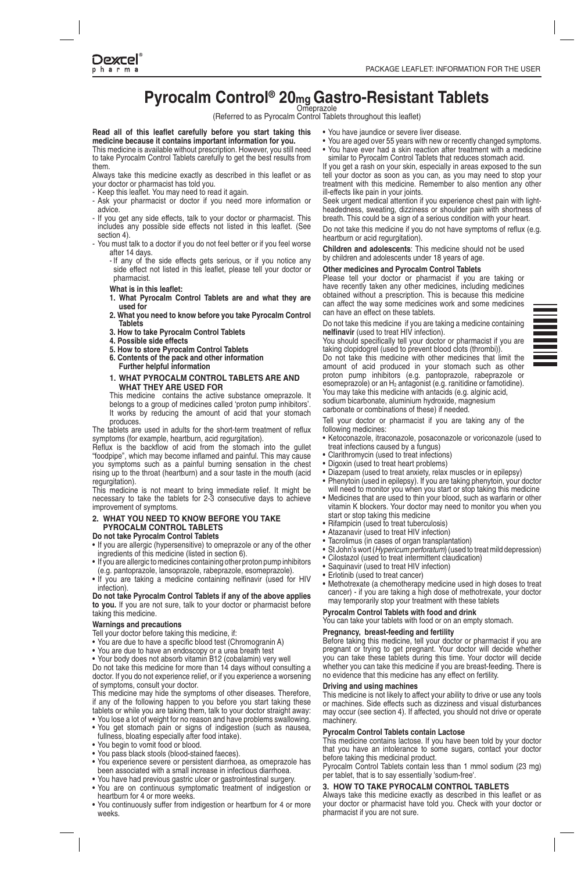**Dexcel** pharm

# **Pyrocalm Control® 20<sub>mg</sub> Gastro-Resistant Tablets**

(Referred to as Pyrocalm Control Tablets throughout this leaflet)

Read all of this leaflet carefully before you start taking this medicine because it contains important information for you. This medicine is available without prescription. However, you still need to take Pyrocalm Control Tablets carefully to get the best results from them.

Always take this medicine exactly as described in this leaflet or as your doctor or pharmacist has told you.

- .again it read to need may You .leaflet this Keep -
- Ask your pharmacist or doctor if you need more information or .advice
- If you get any side effects, talk to your doctor or pharmacist. This includes any possible side effects not listed in this leaflet. (See section 4)
- You must talk to a doctor if you do not feel better or if you feel worse after 14 days.
	- If any of the side effects gets serious, or if you notice any side effect not listed in this leaflet, please tell your doctor or pharmacist.
	- **What is in this leaflet:**
	- 1. What Pyrocalm Control Tablets are and what they are used for
	- 2. What you need to know before you take Pyrocalm Control **Tablets**
	- 3. How to take Pyrocalm Control Tablets
	- **4. Possible side effects**
	- **5. How to store Pyrocalm Control Tablets**
	- **6. Contents of the pack and other information Further helpful information**

#### **1. WHAT PYROCALM CONTROL TABLETS ARE AND WHAT THEY ARE USED FOR**

This medicine contains the active substance omeprazole. It belongs to a group of medicines called 'proton pump inhibitors'. It works by reducing the amount of acid that your stomach produces.

The tablets are used in adults for the short-term treatment of reflux symptoms (for example, heartburn, acid regurgitation).

Reflux is the backflow of acid from the stomach into the gullet "foodpipe", which may become inflamed and painful. This may cause you symptoms such as a painful burning sensation in the chest rising up to the throat (heartburn) and a sour taste in the mouth (acid regurgitation).

This medicine is not meant to bring immediate relief. It might be necessary to take the tablets for 2-3 consecutive days to achieve improvement of symptoms.

#### 2. WHAT YOU NEED TO KNOW BEFORE YOU TAKE **TABLETS CONTROL PYROCALM**

**Do not take Pyrocalm Control Tablets** 

- If you are allergic (hypersensitive) to omeprazole or any of the other ingredients of this medicine (listed in section 6).
- If you are allergic to medicines containing other proton pump inhibitors
- (e.g. pantoprazole, lansoprazole, rabeprazole, esomeprazole). • If you are taking a medicine containing nelfinavir (used for HIV infection)

Do not take Pyrocalm Control Tablets if any of the above applies to you. If you are not sure, talk to your doctor or pharmacist before taking this medicine.

#### **Warnings and precautions**

Tell your doctor before taking this medicine, if:

- You are due to have a specific blood test (Chromogranin A)
- You are due to have an endoscopy or a urea breath test
- Vour body does not absorb vitamin B12 (cobalamin) very well

Do not take this medicine for more than 14 days without consulting a doctor. If you do not experience relief, or if you experience a worsening of symptoms, consult your doctor.

This medicine may hide the symptoms of other diseases. Therefore, if any of the following happen to you before you start taking these tablets or while you are taking them, talk to your doctor straight away:

- You lose a lot of weight for no reason and have problems swallowing. • You get stomach pain or signs of indigestion (such as nausea,
- fullness, bloating especially after food intake).
- You begin to vomit food or blood.
- You pass black stools (blood-stained faeces).
- You experience severe or persistent diarrhoea, as omeprazole has been associated with a small increase in infectious diarrhoea.
- . You have had previous gastric ulcer or gastrointestinal surgery.
- You are on continuous symptomatic treatment of indigestion or heartburn for 4 or more weeks.
- You continuously suffer from indigestion or heartburn for 4 or more .weeks
- . You have jaundice or severe liver disease.
- You are aged over 55 years with new or recently changed symptoms.
- You have ever had a skin reaction after treatment with a medicine similar to Pyrocalm Control Tablets that reduces stomach acid.

If you get a rash on your skin, especially in areas exposed to the sun tell your doctor as soon as you can, as you may need to stop your treatment with this medicine. Remember to also mention any other ill-effects like pain in your ioints.

Seek urgent medical attention if you experience chest pain with light-<br>headedness, sweating, dizziness or shoulder pain with shortness of Seek urgent medical attention if you experience chest pain with lightbreath. This could be a sign of a serious condition with your heart.

Do not take this medicine if you do not have symptoms of reflux (e.g. heartburn or acid regurgitation).

Children and adolescents: This medicine should not be used by children and adolescents under 18 years of age.

#### **Other medicines and Pyrocalm Control Tablets**

Please tell your doctor or pharmacist if you are taking or have recently taken any other medicines, including medicines obtained without a prescription. This is because this medicine can affect the way some medicines work and some medicines can have an effect on these tablets.

Do not take this medicine if you are taking a medicine containing nelfinavir (used to treat HIV infection).

You should specifically tell your doctor or pharmacist if you are taking clopidogrel (used to prevent blood clots (thrombi)).

Do not take this medicine with other medicines that limit the amount of acid produced in your stomach such as other proton pump inhibitors (e.g. pantoprazole, rabeprazole or esomeprazole) or an  $H_2$  antagonist (e.g. ranitidine or famotidine). You may take this medicine with antacids (e.g. alginic acid, sodium bicarbonate, aluminium hydroxide, magnesium

carbonate or combinations of these) if needed.

Tell your doctor or pharmacist if you are taking any of the following medicines:

- Ketoconazole, itraconazole, posaconazole or voriconazole (used to treat infections caused by a fungus)
- Clarithromycin (used to treat infections)
- Digoxin (used to treat heart problems)
- Diazepam (used to treat anxiety, relax muscles or in epilepsy)
- Phenytoin (used in epilepsy). If you are taking phenytoin, your doctor
- will need to monitor you when you start or stop taking this medicine • Medicines that are used to thin your blood, such as warfarin or other vitamin K blockers. Your doctor may need to monitor you when you
- start or stop taking this medicine Rifampicin (used to treat tuberculosis)
- Atazanavir (used to treat HIV infection)
- Tacrolimus (in cases of organ transplantation)
- St John's wort (*Hypericum perforatum*) (used to treat mild depression)
- Cilostazol (used to treat intermittent claudication)
- Saquinavir (used to treat HIV infection)
- Erlotinib (used to treat cancer)
- Methotrexate (a chemotherapy medicine used in high doses to treat cancer) - if you are taking a high dose of methotrexate, your doctor may temporarily stop your treatment with these tablets

#### **Pyrocalm Control Tablets with food and drink**

You can take your tablets with food or on an empty stomach.

# **Pregnancy, breast-feeding and fertility**

Before taking this medicine, tell your doctor or pharmacist if you are pregnant or trying to get pregnant. Your doctor will decide whether you can take these tablets during this time. Your doctor will decide whether you can take this medicine if you are breast-feeding. There is no evidence that this medicine has any effect on fertility.

#### **Driving and using machines**

This medicine is not likely to affect your ability to drive or use any tools or machines. Side effects such as dizziness and visual disturbances may occur (see section 4). If affected, you should not drive or operate .machinery

# **Pyrocalm Control Tablets contain Lactose**

This medicine contains lactose. If you have been told by your doctor that you have an intolerance to some sugars, contact your doctor before taking this medicinal product.

Pyrocalm Control Tablets contain less than 1 mmol sodium (23 mg) per tablet, that is to say essentially 'sodium-free'.

#### **3. HOW TO TAKE PYROCALM CONTROL TABLETS**

Always take this medicine exactly as described in this leaflet or as your doctor or pharmacist have told you. Check with your doctor or pharmacist if you are not sure.